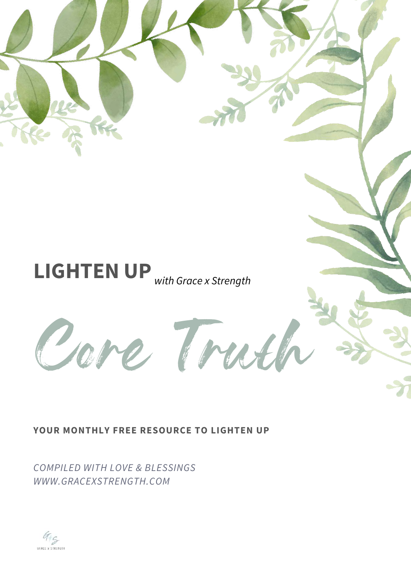

#### **YOUR MONTHLY FREE RESOURCE TO LIGHTEN UP**

*COMPILED WITH LOVE & BLESSINGS WWW.GRACEXSTRENGTH.COM*

$$
\mathcal{G}_{\uparrow \mathcal{S}}^{\phantom{\dagger}}
$$
   
grate x strenoth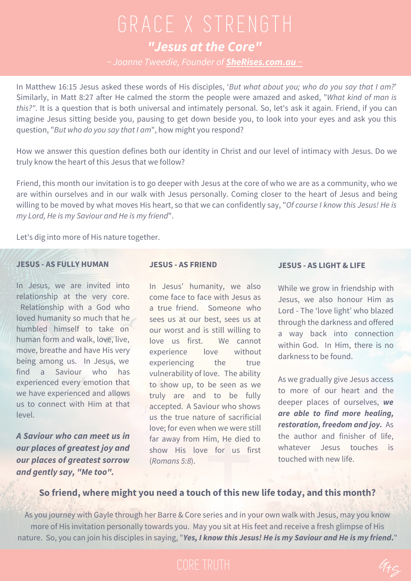*"Jesus at the Core"*

*~ Joanne Tweedie, Founder of [SheRises.com.au](http://bit.ly/SheRisesAustralia) ~*

In Matthew 16:15 Jesus asked these words of His disciples, '*But what about you; who do you say that I am?*' Similarly, in Matt 8:27 after He calmed the storm the people were amazed and asked, "*What kind of man is this?"*. It is a question that is both universal and intimately personal. So, let's ask it again. Friend, if you can imagine Jesus sitting beside you, pausing to get down beside you, to look into your eyes and ask you this question, "*But who do you say that I am*", how might you respond?

How we answer this question defines both our identity in Christ and our level of intimacy with Jesus. Do we truly know the heart of this Jesus that we follow?

Friend, this month our invitation is to go deeper with Jesus at the core of who we are as a community, who we are within ourselves and in our walk with Jesus personally. Coming closer to the heart of Jesus and being willing to be moved by what moves His heart, so that we can confidently say, "*Of course I know this Jesus! He is my Lord, He is my Saviour and He is my friend*".

Let's dig into more of His nature together.

#### **JESUS - AS FULLY HUMAN**

In Jesus, we are invited into relationship at the very core. Relationship with a God who loved humanity so much that he humbled himself to take on human form and walk, love, live, move, breathe and have His very being among us. In Jesus, we find a Saviour who has experienced every emotion that we have experienced and allows us to connect with Him at that level.

*A Saviour who can meet us in our places of greatest joy and our places of greatest sorrow and gently say, "Me too".*

#### **JESUS - AS FRIEND**

In Jesus' humanity, we also come face to face with Jesus as a true friend. Someone who sees us at our best, sees us at our worst and is still willing to love us first. We cannot experience love without experiencing the true vulnerability of love. The ability to show up, to be seen as we truly are and to be fully accepted. A Saviour who shows us the true nature of sacrificial love; for even when we were still far away from Him, He died to show His love for us first (*Romans 5:8*).

#### **JESUS - AS LIGHT & LIFE**

While we grow in friendship with Jesus, we also honour Him as Lord - The 'love light' who blazed through the darkness and offered a way back into connection within God. In Him, there is no darkness to be found.

As we gradually give Jesus access to more of our heart and the deeper places of ourselves, *we are able to find more healing, restoration, freedom and joy.* As the author and finisher of life, whatever Jesus touches is touched with new life.

#### **So friend, where might you need a touch of this new life today, and this month?**

As you journey with Gayle through her Barre & Core series and in your own walk with Jesus, may you know more of His invitation personally towards you. May you sit at His feet and receive a fresh glimpse of His nature. So, you can join his disciples in saying, "*Yes, I know this Jesus! He is my Saviour and He is my friend***.**"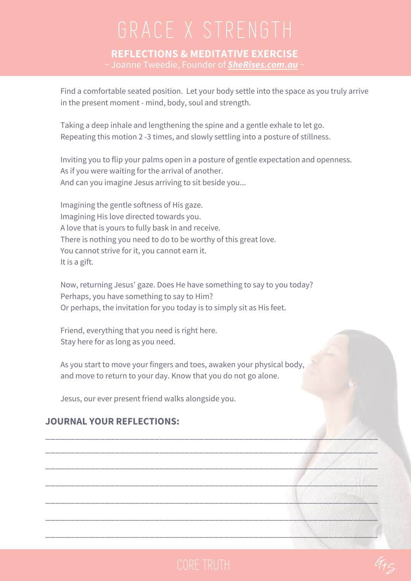**REFLECTIONS & MEDITATIVE EXERCISE**

~ Joanne Tweedie, Founder of *[SheRises.com.au](http://bit.ly/SheRisesAustralia)* ~

Find a comfortable seated position. Let your body settle into the space as you truly arrive in the present moment - mind, body, soul and strength.

Taking a deep inhale and lengthening the spine and a gentle exhale to let go. Repeating this motion 2 -3 times, and slowly settling into a posture of stillness.

Inviting you to flip your palms open in a posture of gentle expectation and openness. As if you were waiting for the arrival of another. And can you imagine Jesus arriving to sit beside you...

Imagining the gentle softness of His gaze. Imagining His love directed towards you. A love that is yours to fully bask in and receive. There is nothing you need to do to be worthy of this great love. You cannot strive for it, you cannot earn it. It is a gift.

Now, returning Jesus' gaze. Does He have something to say to you today? Perhaps, you have something to say to Him? Or perhaps, the invitation for you today is to simply sit as His feet.

Friend, everything that you need is right here. Stay here for as long as you need.

As you start to move your fingers and toes, awaken your physical body, and move to return to your day. Know that you do not go alone.

Jesus, our ever present friend walks alongside you.

### **JOURNAL YOUR REFLECTIONS:**



\_\_\_\_\_\_\_\_\_\_\_\_\_\_\_\_\_\_\_\_\_\_\_\_\_\_\_\_\_\_\_\_\_\_\_\_\_\_\_\_\_\_\_\_\_\_\_\_\_\_\_\_\_\_\_\_\_\_\_\_\_\_\_\_\_\_\_ \_\_\_\_\_\_\_\_\_\_\_\_\_\_\_\_\_\_\_\_\_\_\_\_\_\_\_\_\_\_\_\_\_\_\_\_\_\_\_\_\_\_\_\_\_\_\_\_\_\_\_\_\_\_\_\_\_\_\_\_\_\_\_\_\_\_\_

\_\_\_\_\_\_\_\_\_\_\_\_\_\_\_\_\_\_\_\_\_\_\_\_\_\_\_\_\_\_\_\_\_\_\_\_\_\_\_\_\_\_\_\_\_\_\_\_\_\_\_\_\_\_\_\_\_\_\_\_\_\_\_\_\_\_\_

\_\_\_\_\_\_\_\_\_\_\_\_\_\_\_\_\_\_\_\_\_\_\_\_\_\_\_\_\_\_\_\_\_\_\_\_\_\_\_\_\_\_\_\_\_\_\_\_\_\_\_\_\_\_\_\_\_\_\_\_\_\_\_\_\_\_\_

\_\_\_\_\_\_\_\_\_\_\_\_\_\_\_\_\_\_\_\_\_\_\_\_\_\_\_\_\_\_\_\_\_\_\_\_\_\_\_\_\_\_\_\_\_\_\_\_\_\_\_\_\_\_\_\_\_\_\_\_\_\_\_\_\_\_\_

\_\_\_\_\_\_\_\_\_\_\_\_\_\_\_\_\_\_\_\_\_\_\_\_\_\_\_\_\_\_\_\_\_\_\_\_\_\_\_\_\_\_\_\_\_\_\_\_\_\_\_\_\_\_\_\_\_\_\_\_\_\_\_\_\_\_\_

\_\_\_\_\_\_\_\_\_\_\_\_\_\_\_\_\_\_\_\_\_\_\_\_\_\_\_\_\_\_\_\_\_\_\_\_\_\_\_\_\_\_\_\_\_\_\_\_\_\_\_\_\_\_\_\_\_\_\_\_\_\_\_\_\_\_\_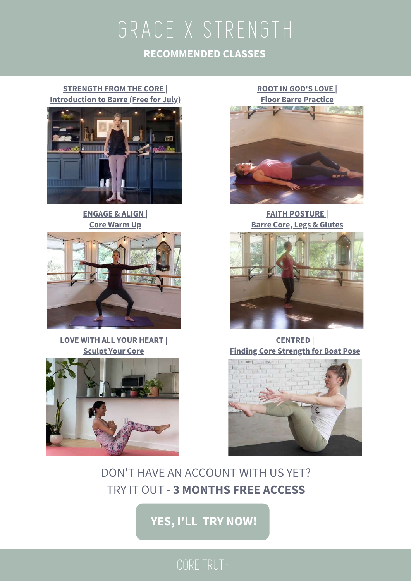### CORE TRUTH

## **[YES,](https://www.gracexstrength.com/register/) I'LL [T](https://www.gracexstrength.com/register/)RY [NOW!](https://www.gracexstrength.com/register/)**

### DON'T HAVE AN ACCOUNT WITH US YET? TRY IT OUT - **3 MONTHS FREE ACCESS**



**LOVE WITH ALL YOUR [HEART](https://www.gracexstrength.com/premium-yoga-video/love-with-all-your-heart-sculpt-your-core/) | [Sculpt](https://www.gracexstrength.com/premium-yoga-video/love-with-all-your-heart-sculpt-your-core/) Your Core**



**[ENGAGE](https://www.gracexstrength.com/premium-yoga-video/engage-and-align-core-warm-up/) & ALIGN | Core [Warm](https://www.gracexstrength.com/premium-yoga-video/engage-and-align-core-warm-up/) Up**

**STRENGTH FROM THE CORE | [Introduction](https://www.gracexstrength.com/premium-yoga-video/strength-from-the-core-introduction-to-barre/) to Barre (Free for July)**



GRACE X STRENGTH

**RECOMMENDED CLASSES**

**ROOT IN [GOD'S](https://www.gracexstrength.com/premium-yoga-video/root-in-gods-love-floor-barre-practice/) LOVE | Floor Barre [Practice](https://www.gracexstrength.com/premium-yoga-video/root-in-gods-love-floor-barre-practice/)**



**FAITH [POSTURE](https://www.gracexstrength.com/premium-yoga-video/faith-posture-barre-core-legs-glutes/) | Barre Core, Legs & [Glutes](https://www.gracexstrength.com/premium-yoga-video/faith-posture-barre-core-legs-glutes/)**



**[CENTRED](https://www.gracexstrength.com/premium-yoga-video/centred-finding-core-strength-for-boat-pose/) | Finding Core [Strength](https://www.gracexstrength.com/premium-yoga-video/centred-finding-core-strength-for-boat-pose/) for Boat Pose**



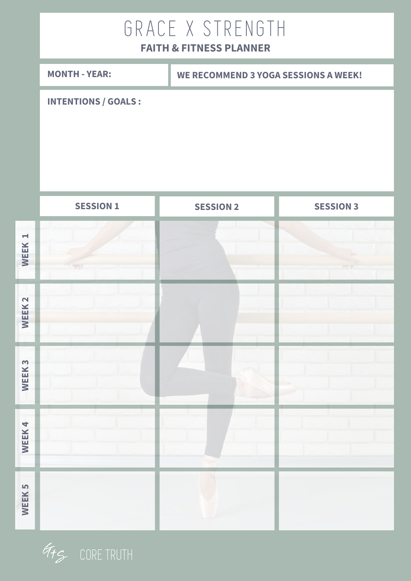# GRACE X STRENGTH

### **FAITH & FITNESS PLANNER**

**SESSION 1 SESSION 2 SESSION 3 WEEK1WEEK** $\sim$ **WEEK**<u>ი</u> **WEEK4WEEK5MONTH - YEAR: INTENTIONS / GOALS : WE RECOMMEND 3 YOGA SESSIONS A WEEK!**

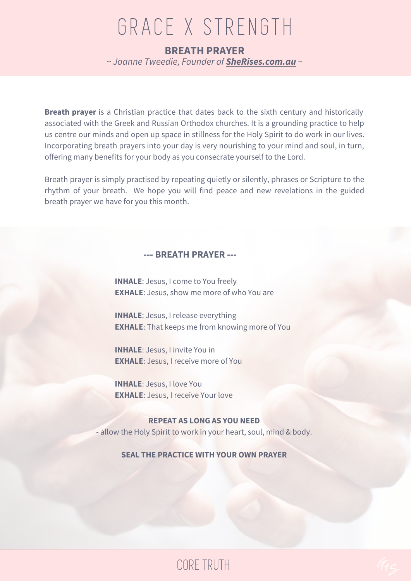## GRACE X STRENGTH

**BREATH PRAYER** *~ Joanne Tweedie, Founder of [SheRises.com.au](http://bit.ly/SheRisesAustralia) ~*

**Breath prayer** is a Christian practice that dates back to the sixth century and historically associated with the Greek and Russian Orthodox churches. It is a grounding practice to help us centre our minds and open up space in stillness for the Holy Spirit to do work in our lives. Incorporating breath prayers into your day is very nourishing to your mind and soul, in turn, offering many benefits for your body as you consecrate yourself to the Lord.

Breath prayer is simply practised by repeating quietly or silently, phrases or Scripture to the rhythm of your breath. We hope you will find peace and new revelations in the guided breath prayer we have for you this month.

#### **--- BREATH PRAYER ---**

**INHALE**: Jesus, I come to You freely **EXHALE**: Jesus, show me more of who You are

**INHALE**: Jesus, I release everything **EXHALE**: That keeps me from knowing more of You

**INHALE**: Jesus, I invite You in **EXHALE**: Jesus, I receive more of You

**INHALE**: Jesus, I love You **EXHALE**: Jesus, I receive Your love

#### **REPEAT AS LONG AS YOU NEED**

- allow the Holy Spirit to work in your heart, soul, mind & body.

#### **SEAL THE PRACTICE WITH YOUR OWN PRAYER**

CORE TRUTH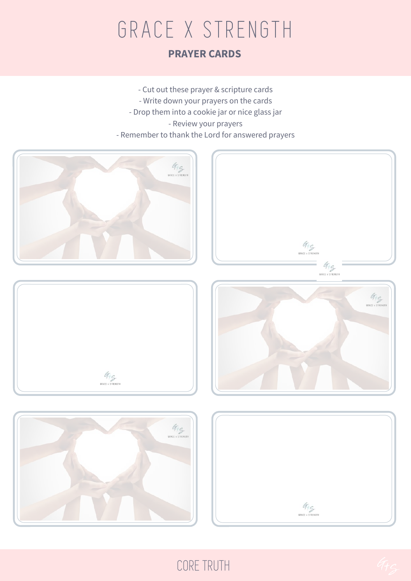## GRACE X STRENGTH **PRAYER CARDS**

- Cut out these prayer & scripture cards
- Write down your prayers on the cards
- Drop them into a cookie jar or nice glass jar
	- Review your prayers
- Remember to thank the Lord for answered prayers

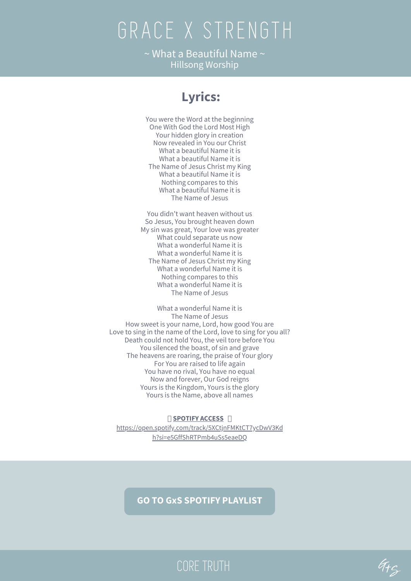# GRACE X STRENGTH

GRACE ACCEPTIVE IN CHILE<br>
What a Beautiful Name ~<br>Hillsong Worshin  $\sim$  What a Beautiful Name  $\sim$ Hillsong Worship

### **Lyrics:**

You were the Word at the beginning One With God the Lord Most High Your hidden glory in creation Now revealed in You our Christ What a beautiful Name it is What a beautiful Name it is The Name of Jesus Christ my King What a beautiful Name it is Nothing compares to this What a beautiful Name it is The Name of Jesus

You didn't want heaven without us So Jesus, You brought heaven down My sin was great, Your love was greater What could separate us now What a wonderful Name it is What a wonderful Name it is The Name of Jesus Christ my King What a wonderful Name it is Nothing compares to this What a wonderful Name it is The Name of Jesus

What a wonderful Name it is The Name of Jesus How sweet is your name, Lord, how good You are Love to sing in the name of the Lord, love to sing for you all? Death could not hold You, the veil tore before You You silenced the boast, of sin and grave The heavens are roaring, the praise of Your glory For You are raised to life again You have no rival, You have no equal Now and forever, Our God reigns Yours is the Kingdom, Yours is the glory Yours is the Name, above all names

 **[SPOTIFY](https://open.spotify.com/track/3QgqMVZdqHdY8e7r7IUBww) ACCES[S](https://open.spotify.com/track/3QgqMVZdqHdY8e7r7IUBww)** [https://open.spotify.com/track/5XCtjnFMKtCT7ycDwV3Kd](https://open.spotify.com/track/5XCtjnFMKtCT7ycDwV3Kdh?si=e5GffShRTPmb4uSs5eaeDQ) h?si=e5GffShRTPmb4uSs5eaeDQ

#### **GO TO GxS SPOTIFY [PLAYLIST](https://open.spotify.com/user/nzoqp1y9rhsn3y2jatl8nyfak?si=nXD0XCcTRlOp00C1VLOsEw)**

CORE TRUTH

4fg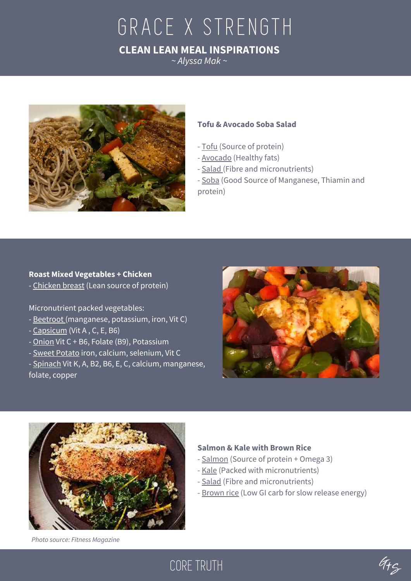## GRACE X STRENGTH **CLEAN LEAN MEAL INSPIRATIONS**

*~ Alyssa Mak ~*



#### **Tofu & Avocado Soba Salad**

- Tofu (Source of protein)
- Avocado (Healthy fats)
- Salad (Fibre and micronutrients)

- Soba (Good Source of Manganese, Thiamin and protein)

#### **Roast Mixed Vegetables + Chicken**

- Chicken breast (Lean source of protein)

Micronutrient packed vegetables:

- Beetroot (manganese, potassium, iron, Vit C)
- Capsicum (Vit A , C, E, B6)
- Onion Vit C + B6, Folate (B9), Potassium
- Sweet Potato iron, calcium, selenium, Vit C
- Spinach Vit K, A, B2, B6, E, C, calcium, manganese, folate, copper





#### **Salmon & Kale with Brown Rice**

- Salmon (Source of protein + Omega 3)
- Kale (Packed with micronutrients)
- Salad (Fibre and micronutrients)
- Brown rice (Low GI carb for slow release energy)

*Photo source: Fitness Magazine*

## CORE TRUTH

lFf S